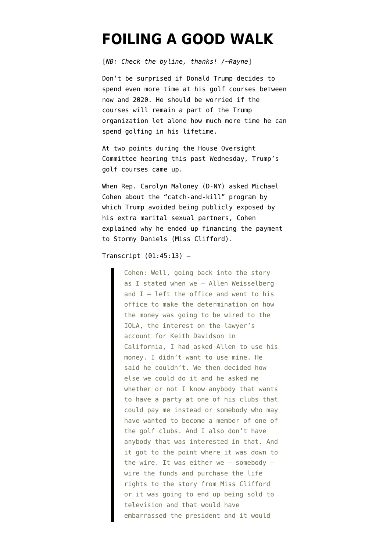## **[FOILING A GOOD WALK](https://www.emptywheel.net/2019/03/04/foiling-a-good-walk/)**

[*NB: Check the byline, thanks! /~Rayne*]

Don't be surprised if Donald Trump decides to spend even more time at his golf courses between now and 2020. He should be worried if the courses will remain a part of the Trump organization let alone how much more time he can spend golfing in his lifetime.

At two points during the [House Oversight](https://www.c-span.org/video/?458125-1/michael-cohen-president-trump-he-racist-con-man-cheat) [Committee hearing](https://www.c-span.org/video/?458125-1/michael-cohen-president-trump-he-racist-con-man-cheat) this past Wednesday, Trump's golf courses came up.

When Rep. Carolyn Maloney (D-NY) asked Michael Cohen about the "catch-and-kill" program by which Trump avoided being publicly exposed by his extra marital sexual partners, Cohen explained why he ended up financing the payment to Stormy Daniels (Miss Clifford).

Transcript  $(01:45:13)$  -

Cohen: Well, going back into the story as I stated when we — Allen Weisselberg and  $I -$  left the office and went to his office to make the determination on how the money was going to be wired to the IOLA, the interest on the lawyer's account for Keith Davidson in California, I had asked Allen to use his money. I didn't want to use mine. He said he couldn't. We then decided how else we could do it and he asked me whether or not I know anybody that wants to have a party at one of his clubs that could pay me instead or somebody who may have wanted to become a member of one of the golf clubs. And I also don't have anybody that was interested in that. And it got to the point where it was down to the wire. It was either we  $-$  somebody  $$ wire the funds and purchase the life rights to the story from Miss Clifford or it was going to end up being sold to television and that would have embarrassed the president and it would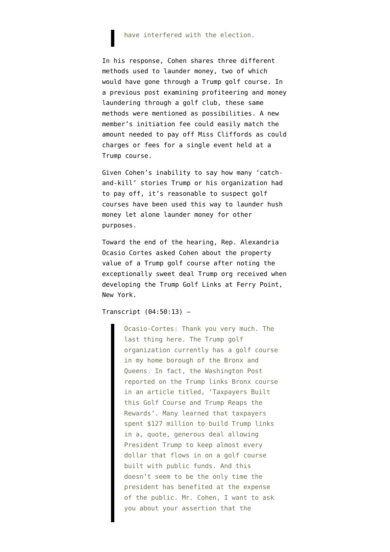## have interfered with the election.

In his response, Cohen shares three different methods used to launder money, two of which would have gone through a Trump golf course. In a previous post examining profiteering and money laundering through a golf club, these same methods were mentioned as possibilities. A new member's initiation fee could easily match the amount needed to pay off Miss Cliffords as could charges or fees for a single event held at a Trump course.

Given Cohen's inability to say how many 'catchand-kill' stories Trump or his organization had to pay off, it's reasonable to suspect golf courses have been used this way to launder hush money let alone launder money for other purposes.

Toward the end of the hearing, Rep. Alexandria Ocasio Cortes asked Cohen about the property value of a Trump golf course after noting the exceptionally sweet deal Trump org received when developing the Trump Golf Links at Ferry Point, New York.

## Transcript  $(04:50:13)$  -

Ocasio-Cortes: Thank you very much. The last thing here. The Trump golf organization currently has a golf course in my home borough of the Bronx and Queens. In fact, the Washington Post reported on the Trump links Bronx course in an article titled, 'Taxpayers Built this Golf Course and Trump Reaps the Rewards'. Many learned that taxpayers spent \$127 million to build Trump links in a, quote, generous deal allowing President Trump to keep almost every dollar that flows in on a golf course built with public funds. And this doesn't seem to be the only time the president has benefited at the expense of the public. Mr. Cohen, I want to ask you about your assertion that the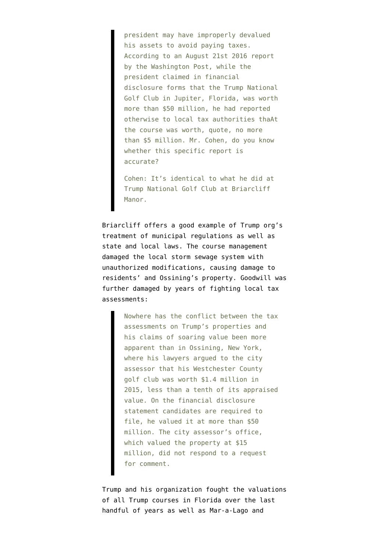president may have improperly devalued his assets to avoid paying taxes. According to an August 21st 2016 report by the Washington Post, while the president claimed in financial disclosure forms that the Trump National Golf Club in Jupiter, Florida, was worth more than \$50 million, he had reported otherwise to local tax authorities thaAt the course was worth, quote, no more than \$5 million. Mr. Cohen, do you know whether this specific report is accurate?

Cohen: It's identical to what he did at Trump National Golf Club at Briarcliff Manor.

Briarcliff [offers a good example](https://www.charlotteobserver.com/news/politics-government/article89939032.html) of Trump org's treatment of municipal regulations as well as state and local laws. The course management damaged the local storm sewage system with unauthorized modifications, causing damage to residents' and Ossining's property. Goodwill was further damaged by years of fighting local tax assessments:

> Nowhere has the conflict between the tax assessments on Trump's properties and his claims of soaring value been more apparent than in Ossining, New York, where his lawyers argued to the city assessor that his Westchester County golf club was worth \$1.4 million in 2015, less than a tenth of its appraised value. On the financial disclosure statement candidates are required to file, he valued it at more than \$50 million. The city assessor's office, which valued the property at \$15 million, did not respond to a request for comment.

Trump and his organization fought the valuations of all Trump courses in Florida over the last handful of years as well as Mar-a-Lago and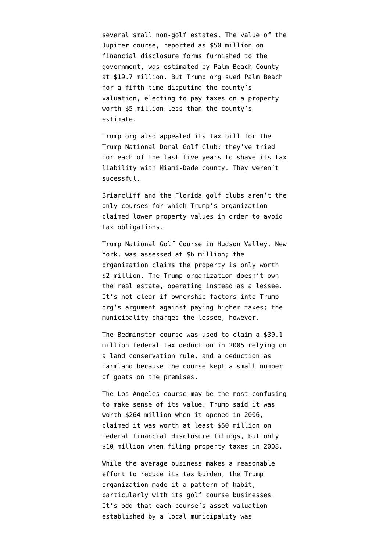several small non-golf estates. The value of the Jupiter course, reported as \$50 million on financial disclosure forms furnished to the government, was estimated by Palm Beach County at \$19.7 million. But Trump org sued Palm Beach for a fifth time disputing the county's valuation, electing to pay taxes on a property worth \$5 million less than the county's estimate.

Trump org also [appealed its tax bill](https://www.sun-sentinel.com/local/palm-beach/fl-pn-trump-doral-tax-decision-20170518-story.html) for the Trump National Doral Golf Club; they've tried for each of the last five years to shave its tax liability with Miami-Dade county. They weren't sucessful.

[Briarcliff](https://www.theguardian.com/us-news/2016/mar/12/donald-trump-briarcliff-manor-golf-course-tax) and the Florida golf clubs aren't the only courses for which Trump's organization claimed lower property values in order to avoid tax obligations.

Trump National Golf Course in Hudson Valley, New York, was assessed at \$6 million; the organization [claims the property is only worth](https://www.poughkeepsiejournal.com/story/news/local/southern-dutchess/2016/01/25/trumps-golf-club-wants-4-million-cut-tax-assessment/78768152/) [\\$2 million.](https://www.poughkeepsiejournal.com/story/news/local/southern-dutchess/2016/01/25/trumps-golf-club-wants-4-million-cut-tax-assessment/78768152/) The Trump organization doesn't own the real estate, operating instead as a lessee. It's not clear if ownership factors into Trump org's argument against paying higher taxes; the municipality charges the lessee, however.

The Bedminster course was used to [claim a \\$39.1](https://www.nj.com/politics/2016/03/trump_got_big_tax_break_because_of_nj_golf_club_re.html) [million federal tax deduction in 2005](https://www.nj.com/politics/2016/03/trump_got_big_tax_break_because_of_nj_golf_club_re.html) relying on a land conservation rule, and a deduction as farmland because the course kept a small number of goats on the premises.

The Los Angeles course may be the most confusing to make sense of its value. Trump said it was worth [\\$264 million when it opened in 2006,](https://variety.com/2016/biz/news/donald-trump-national-golf-club-palos-verdes-golf-course-value-1201791482/) claimed it was worth at least \$50 million on federal financial disclosure filings, but only \$10 million when filing property taxes in 2008.

While the average business makes a reasonable effort to reduce its tax burden, the Trump organization made it a pattern of habit, particularly with its golf course businesses. It's odd that each course's asset valuation established by a local municipality was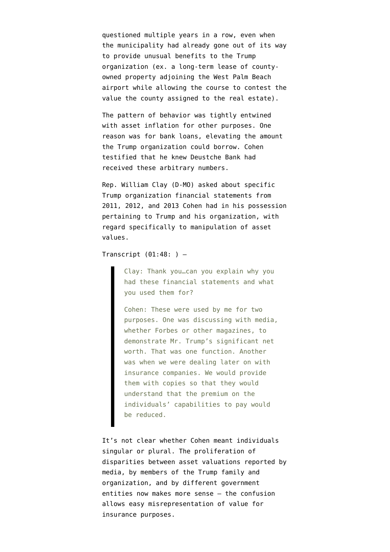questioned multiple years in a row, even when the municipality had already gone out of its way to provide unusual benefits to the Trump organization (ex. a long-term lease of countyowned property adjoining the West Palm Beach airport while allowing the course to contest the value the county assigned to the real estate).

The pattern of behavior was tightly entwined with asset inflation for other purposes. One reason was for bank loans, elevating the amount the Trump organization could borrow. Cohen testified that he knew Deustche Bank had received these arbitrary numbers.

Rep. William Clay (D-MO) asked about specific Trump organization financial statements from 2011, 2012, and 2013 Cohen had in his possession pertaining to Trump and his organization, with regard specifically to manipulation of asset values.

Transcript  $(01:48: ) -$ 

Clay: Thank you…can you explain why you had these financial statements and what you used them for?

Cohen: These were used by me for two purposes. One was discussing with media, whether Forbes or other magazines, to demonstrate Mr. Trump's significant net worth. That was one function. Another was when we were dealing later on with insurance companies. We would provide them with copies so that they would understand that the premium on the individuals' capabilities to pay would be reduced.

It's not clear whether Cohen meant individuals singular or plural. The proliferation of disparities between asset valuations reported by media, by members of the Trump family and organization, and by different government entities now makes more sense — the confusion allows easy misrepresentation of value for insurance purposes.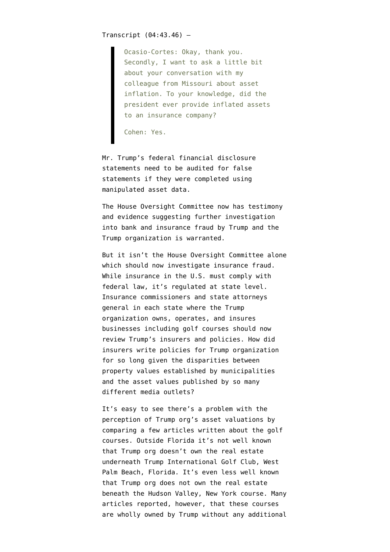## Transcript  $(04:43.46)$  -

Ocasio-Cortes: Okay, thank you. Secondly, I want to ask a little bit about your conversation with my colleague from Missouri about asset inflation. To your knowledge, did the president ever provide inflated assets to an insurance company?

Cohen: Yes.

Mr. Trump's federal financial disclosure statements need to be audited for false statements if they were completed using manipulated asset data.

The House Oversight Committee now has testimony and evidence suggesting further investigation into bank and insurance fraud by Trump and the Trump organization is warranted.

But it isn't the House Oversight Committee alone which should now investigate insurance fraud. While insurance in the U.S. must comply with federal law, it's regulated at state level. Insurance commissioners and state attorneys general in each state where the Trump organization owns, operates, and insures businesses including golf courses should now review Trump's insurers and policies. How did insurers write policies for Trump organization for so long given the disparities between property values established by municipalities and the asset values published by so many different media outlets?

It's easy to see there's a problem with the perception of Trump org's asset valuations by comparing a few articles written about the golf courses. Outside Florida it's not well known that Trump org doesn't own the real estate underneath Trump International Golf Club, West Palm Beach, Florida. It's even less well known that Trump org does not own the real estate beneath the Hudson Valley, New York course. Many articles reported, however, that these courses are wholly owned by Trump without any additional